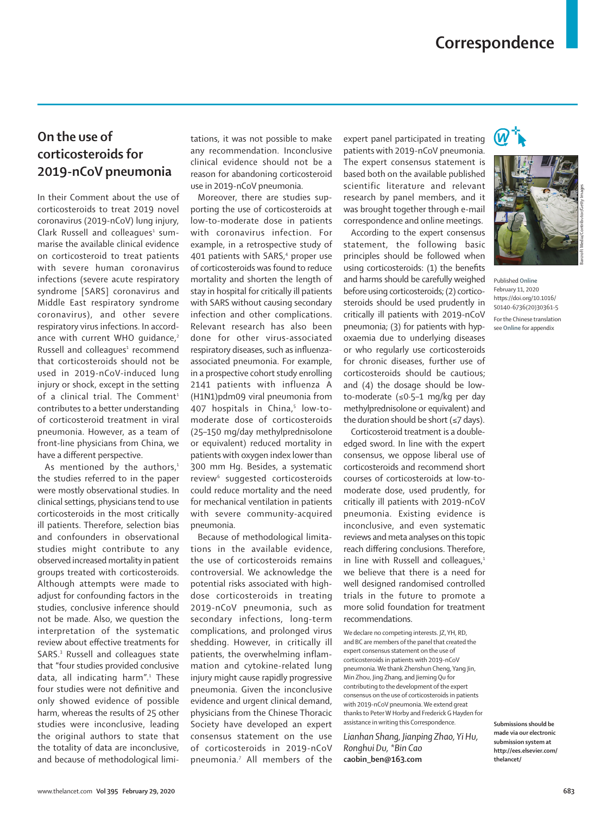# **Correspondence**

## **On the use of corticosteroids for 2019-nCoV pneumonia**

In their Comment about the use of corticosteroids to treat 2019 novel coronavirus (2019-nCoV) lung injury, Clark Russell and colleagues<sup>1</sup> summarise the available clinical evidence on corticosteroid to treat patients with severe human coronavirus infections (severe acute respiratory syndrome [SARS] coronavirus and Middle East respiratory syndrome coronavirus), and other severe respiratory virus infections. In accordance with current WHO quidance,<sup>2</sup> Russell and colleagues<sup>1</sup> recommend that corticosteroids should not be used in 2019-nCoV-induced lung injury or shock, except in the setting of a clinical trial. The Comment<sup>1</sup> contributes to a better understanding of corticosteroid treatment in viral pneumonia. However, as a team of front-line physicians from China, we have a different perspective.

As mentioned by the authors, $1$ the studies referred to in the paper were mostly observational studies. In clinical settings, physicians tend to use corticosteroids in the most critically ill patients. Therefore, selection bias and confounders in observational studies might contribute to any observed increased mortality in patient groups treated with corticosteroids. Although attempts were made to adjust for confounding factors in the studies, conclusive inference should not be made. Also, we question the interpretation of the systematic review about effective treatments for SARS.<sup>3</sup> Russell and colleagues state that "four studies provided conclusive data, all indicating harm".<sup>1</sup> These four studies were not definitive and only showed evidence of possible harm, whereas the results of 25 other studies were inconclusive, leading the original authors to state that the totality of data are inconclusive, and because of methodological limitations, it was not possible to make any recommendation. Inconclusive clinical evidence should not be a reason for abandoning corticosteroid use in 2019-nCoV pneumonia.

Moreover, there are studies supporting the use of corticosteroids at low-to-moderate dose in patients with coronavirus infection. For example, in a retrospective study of 401 patients with SARS,<sup>4</sup> proper use of corticosteroids was found to reduce mortality and shorten the length of stay in hospital for critically ill patients with SARS without causing secondary infection and other complications. Relevant research has also been done for other virus-associated respiratory diseases, such as influenzaassociated pneumonia. For example, in a prospective cohort study enrolling 2141 patients with influenza A (H1N1)pdm09 viral pneumonia from 407 hospitals in China,<sup>5</sup> low-tomoderate dose of corticosteroids (25–150 mg/day methylprednisolone or equivalent) reduced mortality in patients with oxygen index lower than 300 mm Hg. Besides, a systematic review<sup>6</sup> suggested corticosteroids could reduce mortality and the need for mechanical ventilation in patients with severe community-acquired pneumonia.

Because of methodological limitations in the available evidence, the use of corticosteroids remains controversial. We acknowledge the potential risks associated with highdose corticosteroids in treating 2019-nCoV pneumonia, such as secondary infections, long-term complications, and prolonged virus shedding. However, in critically ill patients, the overwhelming inflammation and cytokine-related lung injury might cause rapidly progressive pneumonia. Given the inconclusive evidence and urgent clinical demand, physicians from the Chinese Thoracic Society have developed an expert consensus statement on the use of corticosteroids in 2019-nCoV pneumonia.7 All members of the

expert panel participated in treating patients with 2019-nCoV pneumonia. The expert consensus statement is based both on the available published scientific literature and relevant research by panel members, and it was brought together through e-mail correspondence and online meetings.

According to the expert consensus statement, the following basic principles should be followed when using corticosteroids: (1) the benefits and harms should be carefully weighed before using corticosteroids; (2) corticosteroids should be used prudently in critically ill patients with 2019-nCoV pneumonia; (3) for patients with hypoxaemia due to underlying diseases or who regularly use corticosteroids for chronic diseases, further use of corticosteroids should be cautious; and (4) the dosage should be lowto-moderate (≤0·5–1 mg/kg per day methylprednisolone or equivalent) and the duration should be short ( $\leq$ 7 days).

Corticosteroid treatment is a doubleedged sword. In line with the expert consensus, we oppose liberal use of corticosteroids and recommend short courses of corticosteroids at low-tomoderate dose, used prudently, for critically ill patients with 2019-nCoV pneumonia. Existing evidence is inconclusive, and even systematic reviews and meta analyses on this topic reach differing conclusions. Therefore, in line with Russell and colleagues.<sup>1</sup> we believe that there is a need for well designed randomised controlled trials in the future to promote a more solid foundation for treatment recommendations.

We declare no competing interests. JZ, YH, RD, and BC are members of the panel that created the expert consensus statement on the use of corticosteroids in patients with 2019-nCoV pneumonia. We thank Zhenshun Cheng, Yang Jin, Min Zhou, Jing Zhang, and Jieming Qu for contributing to the development of the expert consensus on the use of corticosteroids in patients with 2019-nCoV pneumonia. We extend great thanks to Peter W Horby and Frederick G Hayden for assistance in writing this Correspondence.

*Lianhan Shang, Jianping Zhao, Yi Hu, Ronghui Du, \*Bin Cao* **caobin\_ben@163.com**





Barcroft Media/Contributor/Getty Images

see **Online** for appendix